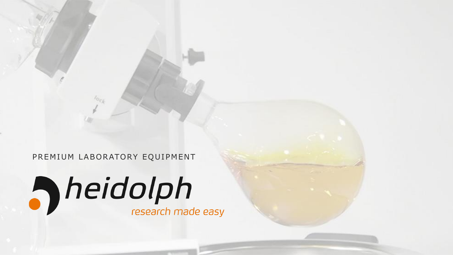PREMIUM LABORATORY EQUIPMENT

# **Sheidolph**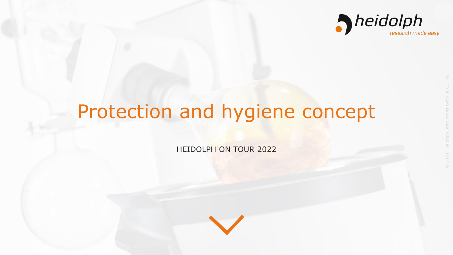

## Protection and hygiene concept

HEIDOLPH ON TOUR 2022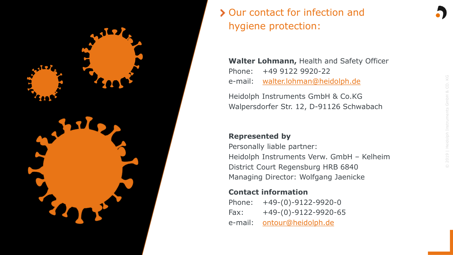

### > Our contact for infection and hygiene protection:

**Walter Lohmann,** Health and Safety Officer Phone: +49 9122 9920-22 e-mail: [walter.lohman@heidolph.de](mailto:walter.lohman@heidolph.de)

Heidolph Instruments GmbH & Co.KG Walpersdorfer Str. 12, D-91126 Schwabach

#### **Represented by**

Personally liable partner: Heidolph Instruments Verw. GmbH – Kelheim District Court Regensburg HRB 6840 Managing Director: Wolfgang Jaenicke

#### **Contact information**

Phone: +49-(0)-9122-9920-0 Fax: +49-(0)-9122-9920-65 e-mail: ontour@heidolph.de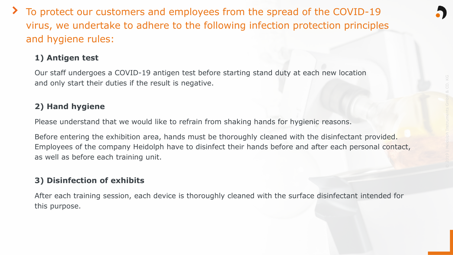

#### **1) Antigen test**

Our staff undergoes a COVID-19 antigen test before starting stand duty at each new location and only start their duties if the result is negative.

#### **2) Hand hygiene**

Please understand that we would like to refrain from shaking hands for hygienic reasons.

Before entering the exhibition area, hands must be thoroughly cleaned with the disinfectant provided. Employees of the company Heidolph have to disinfect their hands before and after each personal contact, as well as before each training unit.

#### **3) Disinfection of exhibits**

After each training session, each device is thoroughly cleaned with the surface disinfectant intended for this purpose.